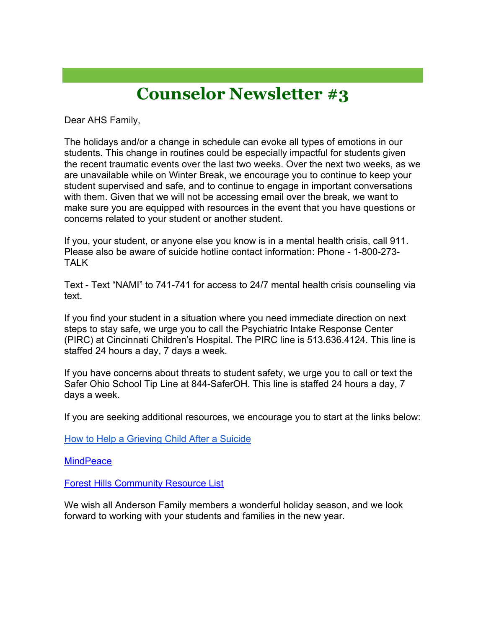## **Counselor Newsletter #3**

Dear AHS Family,

The holidays and/or a change in schedule can evoke all types of emotions in our students. This change in routines could be especially impactful for students given the recent traumatic events over the last two weeks. Over the next two weeks, as we are unavailable while on Winter Break, we encourage you to continue to keep your student supervised and safe, and to continue to engage in important conversations with them. Given that we will not be accessing email over the break, we want to make sure you are equipped with resources in the event that you have questions or concerns related to your student or another student.

If you, your student, or anyone else you know is in a mental health crisis, call 911. Please also be aware of suicide hotline contact information: Phone - 1-800-273- TALK

Text - Text "NAMI" to 741-741 for access to 24/7 mental health crisis counseling via text.

If you find your student in a situation where you need immediate direction on next steps to stay safe, we urge you to call the Psychiatric Intake Response Center (PIRC) at Cincinnati Children's Hospital. The PIRC line is 513.636.4124. This line is staffed 24 hours a day, 7 days a week.

If you have concerns about threats to student safety, we urge you to call or text the Safer Ohio School Tip Line at 844-SaferOH. This line is staffed 24 hours a day, 7 days a week.

If you are seeking additional resources, we encourage you to start at the links below:

How to Help a Grieving Child After a Suicide

**MindPeace** 

**Forest Hills Community Resource List** 

We wish all Anderson Family members a wonderful holiday season, and we look forward to working with your students and families in the new year.